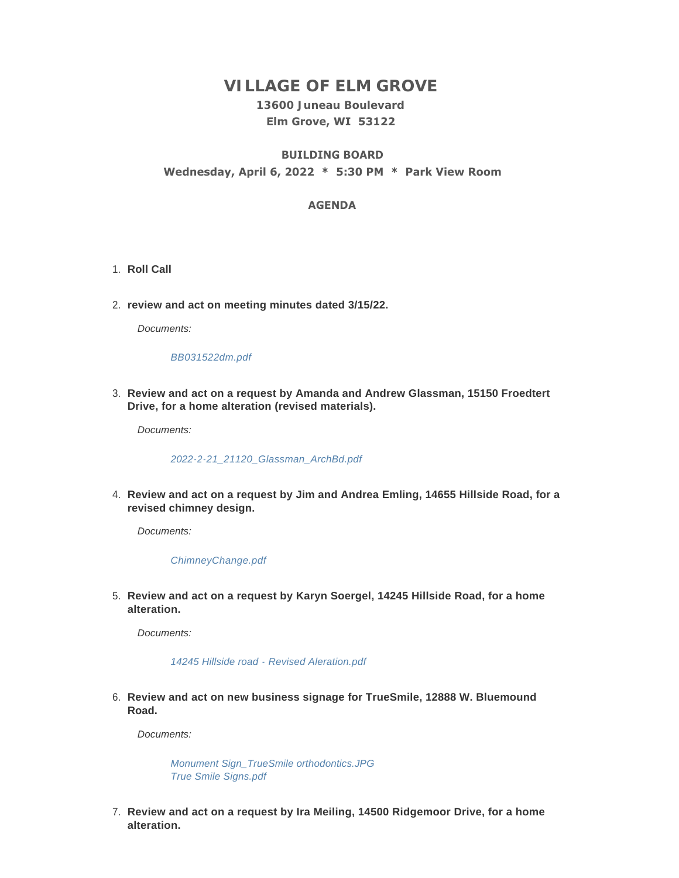# **VILLAGE OF ELM GROVE**

## **13600 Juneau Boulevard Elm Grove, WI 53122**

## **BUILDING BOARD Wednesday, April 6, 2022 \* 5:30 PM \* Park View Room**

## **AGENDA**

- 1. Roll Call
- **review and act on meeting minutes dated 3/15/22.** 2.

*Documents:*

#### *[BB031522dm.pdf](https://elmgrovewi.org/AgendaCenter/ViewFile/Item/11693?fileID=18564)*

**Review and act on a request by Amanda and Andrew Glassman, 15150 Froedtert**  3. **Drive, for a home alteration (revised materials).** 

*Documents:*

### *[2022-2-21\\_21120\\_Glassman\\_ArchBd.pdf](https://elmgrovewi.org/AgendaCenter/ViewFile/Item/11687?fileID=18557)*

**Review and act on a request by Jim and Andrea Emling, 14655 Hillside Road, for a**  4. **revised chimney design.** 

*Documents:*

### *[ChimneyChange.pdf](https://elmgrovewi.org/AgendaCenter/ViewFile/Item/11688?fileID=18558)*

**Review and act on a request by Karyn Soergel, 14245 Hillside Road, for a home**  5. **alteration.** 

*Documents:*

*[14245 Hillside road - Revised Aleration.pdf](https://elmgrovewi.org/AgendaCenter/ViewFile/Item/11689?fileID=18559)*

**Review and act on new business signage for TrueSmile, 12888 W. Bluemound**  6. **Road.**

*Documents:*

*[Monument Sign\\_TrueSmile orthodontics.JPG](https://elmgrovewi.org/AgendaCenter/ViewFile/Item/11690?fileID=18560) [True Smile Signs.pdf](https://elmgrovewi.org/AgendaCenter/ViewFile/Item/11690?fileID=18561)*

**Review and act on a request by Ira Meiling, 14500 Ridgemoor Drive, for a home**  7. **alteration.**